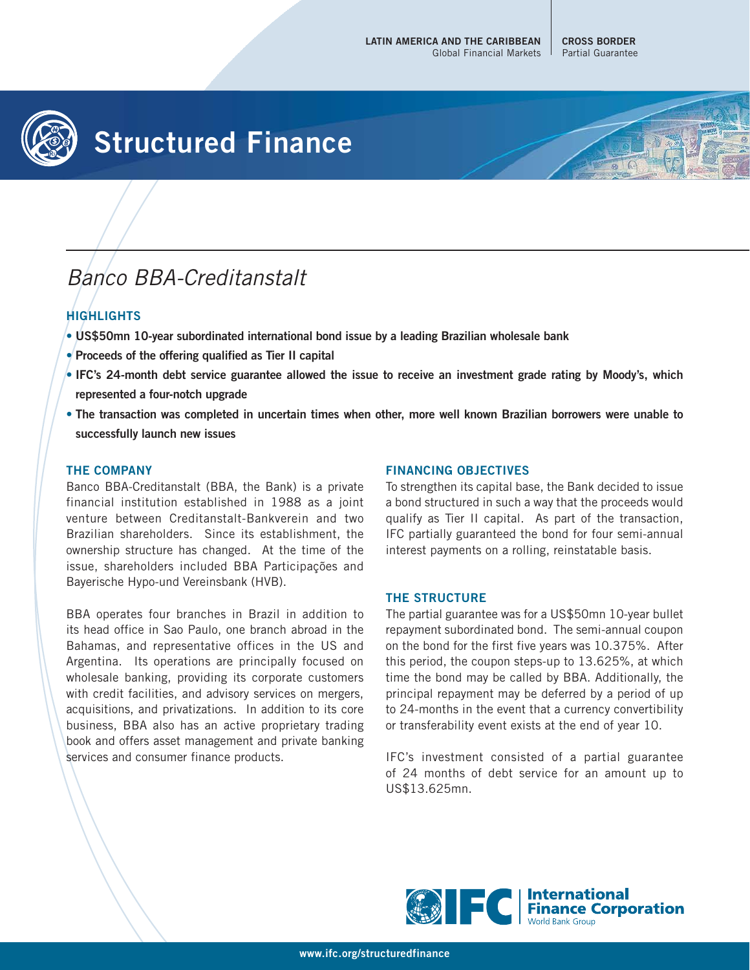

# **Structured Finance**

## Banco BBA-Creditanstalt

### **HIGHLIGHTS**

- **US\$50mn 10-year subordinated international bond issue by a leading Brazilian wholesale bank**
- **Proceeds of the offering qualified as Tier II capital**
- **IFC's 24-month debt service guarantee allowed the issue to receive an investment grade rating by Moody's, which represented a four-notch upgrade**
- **The transaction was completed in uncertain times when other, more well known Brazilian borrowers were unable to successfully launch new issues**

#### **THE COMPANY**

Banco BBA-Creditanstalt (BBA, the Bank) is a private financial institution established in 1988 as a joint venture between Creditanstalt-Bankverein and two Brazilian shareholders. Since its establishment, the ownership structure has changed. At the time of the issue, shareholders included BBA Participações and Bayerische Hypo-und Vereinsbank (HVB).

BBA operates four branches in Brazil in addition to its head office in Sao Paulo, one branch abroad in the Bahamas, and representative offices in the US and Argentina. Its operations are principally focused on wholesale banking, providing its corporate customers with credit facilities, and advisory services on mergers, acquisitions, and privatizations. In addition to its core business, BBA also has an active proprietary trading book and offers asset management and private banking services and consumer finance products.

#### **FINANCING OBJECTIVES**

To strengthen its capital base, the Bank decided to issue a bond structured in such a way that the proceeds would qualify as Tier II capital. As part of the transaction, IFC partially guaranteed the bond for four semi-annual interest payments on a rolling, reinstatable basis.

#### **THE STRUCTURE**

The partial guarantee was for a US\$50mn 10-year bullet repayment subordinated bond. The semi-annual coupon on the bond for the first five years was 10.375%. After this period, the coupon steps-up to 13.625%, at which time the bond may be called by BBA. Additionally, the principal repayment may be deferred by a period of up to 24-months in the event that a currency convertibility or transferability event exists at the end of year 10.

IFC's investment consisted of a partial guarantee of 24 months of debt service for an amount up to US\$13.625mn.